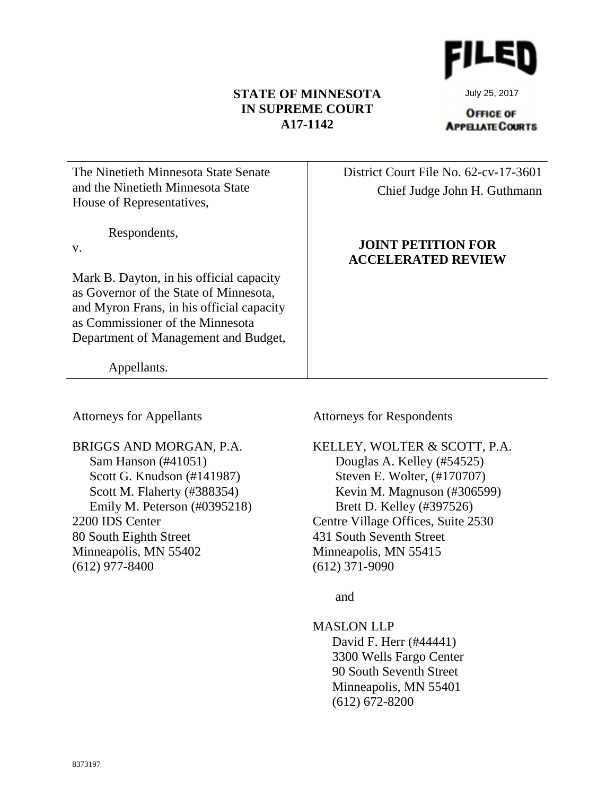# **STATE OF MINNESOTA IN SUPREME COURT A17-1142**



July 25, 2017

**OFFICE OF APPELATE COURTS** 

| The Ninetieth Minnesota State Senate      | District Court File No. 62-cv-17-3601                  |
|-------------------------------------------|--------------------------------------------------------|
| and the Ninetieth Minnesota State         | Chief Judge John H. Guthmann                           |
| House of Representatives,                 |                                                        |
| Respondents,                              |                                                        |
| V.                                        | <b>JOINT PETITION FOR</b><br><b>ACCELERATED REVIEW</b> |
| Mark B. Dayton, in his official capacity  |                                                        |
| as Governor of the State of Minnesota,    |                                                        |
| and Myron Frans, in his official capacity |                                                        |
| as Commissioner of the Minnesota          |                                                        |
| Department of Management and Budget,      |                                                        |
|                                           |                                                        |
| Appellants.                               |                                                        |

Attorneys for Appellants

BRIGGS AND MORGAN, P.A. Sam Hanson (#41051) Scott G. Knudson (#141987) Scott M. Flaherty (#388354) Emily M. Peterson (#0395218) 2200 IDS Center 80 South Eighth Street Minneapolis, MN 55402 (612) 977-8400

Attorneys for Respondents

KELLEY, WOLTER & SCOTT, P.A. Douglas A. Kelley (#54525) Steven E. Wolter, (#170707) Kevin M. Magnuson (#306599) Brett D. Kelley (#397526) Centre Village Offices, Suite 2530 431 South Seventh Street Minneapolis, MN 55415 (612) 371-9090

and

MASLON LLP David F. Herr (#44441) 3300 Wells Fargo Center 90 South Seventh Street Minneapolis, MN 55401 (612) 672-8200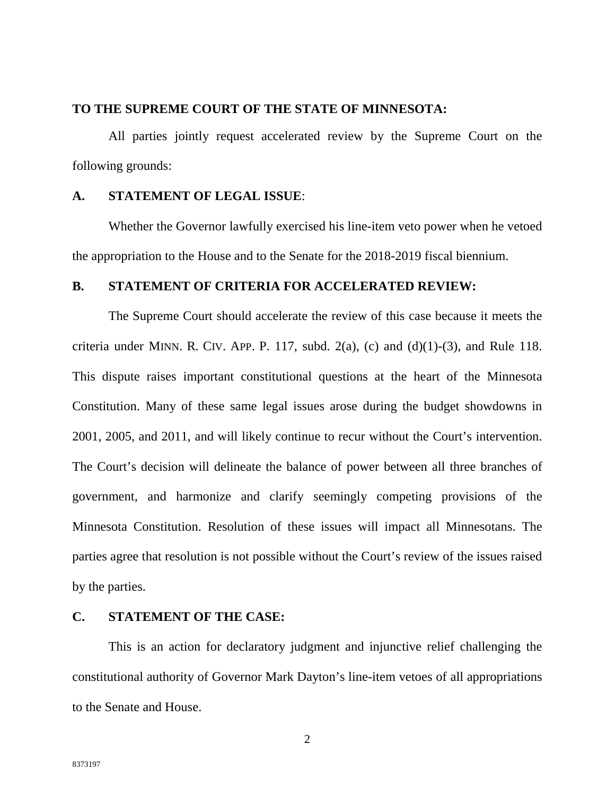### **TO THE SUPREME COURT OF THE STATE OF MINNESOTA:**

All parties jointly request accelerated review by the Supreme Court on the following grounds:

# **A. STATEMENT OF LEGAL ISSUE**:

Whether the Governor lawfully exercised his line-item veto power when he vetoed the appropriation to the House and to the Senate for the 2018-2019 fiscal biennium.

# **B. STATEMENT OF CRITERIA FOR ACCELERATED REVIEW:**

The Supreme Court should accelerate the review of this case because it meets the criteria under MINN. R. CIV. APP. P. 117, subd.  $2(a)$ , (c) and (d)(1)-(3), and Rule 118. This dispute raises important constitutional questions at the heart of the Minnesota Constitution. Many of these same legal issues arose during the budget showdowns in 2001, 2005, and 2011, and will likely continue to recur without the Court's intervention. The Court's decision will delineate the balance of power between all three branches of government, and harmonize and clarify seemingly competing provisions of the Minnesota Constitution. Resolution of these issues will impact all Minnesotans. The parties agree that resolution is not possible without the Court's review of the issues raised by the parties.

#### **C. STATEMENT OF THE CASE:**

This is an action for declaratory judgment and injunctive relief challenging the constitutional authority of Governor Mark Dayton's line-item vetoes of all appropriations to the Senate and House.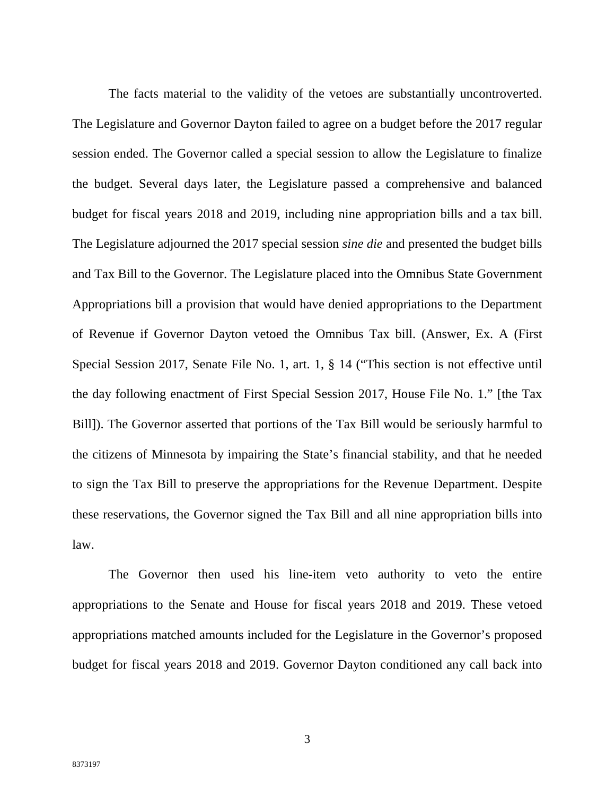The facts material to the validity of the vetoes are substantially uncontroverted. The Legislature and Governor Dayton failed to agree on a budget before the 2017 regular session ended. The Governor called a special session to allow the Legislature to finalize the budget. Several days later, the Legislature passed a comprehensive and balanced budget for fiscal years 2018 and 2019, including nine appropriation bills and a tax bill. The Legislature adjourned the 2017 special session *sine die* and presented the budget bills and Tax Bill to the Governor. The Legislature placed into the Omnibus State Government Appropriations bill a provision that would have denied appropriations to the Department of Revenue if Governor Dayton vetoed the Omnibus Tax bill. (Answer, Ex. A (First Special Session 2017, Senate File No. 1, art. 1, § 14 ("This section is not effective until the day following enactment of First Special Session 2017, House File No. 1." [the Tax Bill]). The Governor asserted that portions of the Tax Bill would be seriously harmful to the citizens of Minnesota by impairing the State's financial stability, and that he needed to sign the Tax Bill to preserve the appropriations for the Revenue Department. Despite these reservations, the Governor signed the Tax Bill and all nine appropriation bills into law.

The Governor then used his line-item veto authority to veto the entire appropriations to the Senate and House for fiscal years 2018 and 2019. These vetoed appropriations matched amounts included for the Legislature in the Governor's proposed budget for fiscal years 2018 and 2019. Governor Dayton conditioned any call back into

3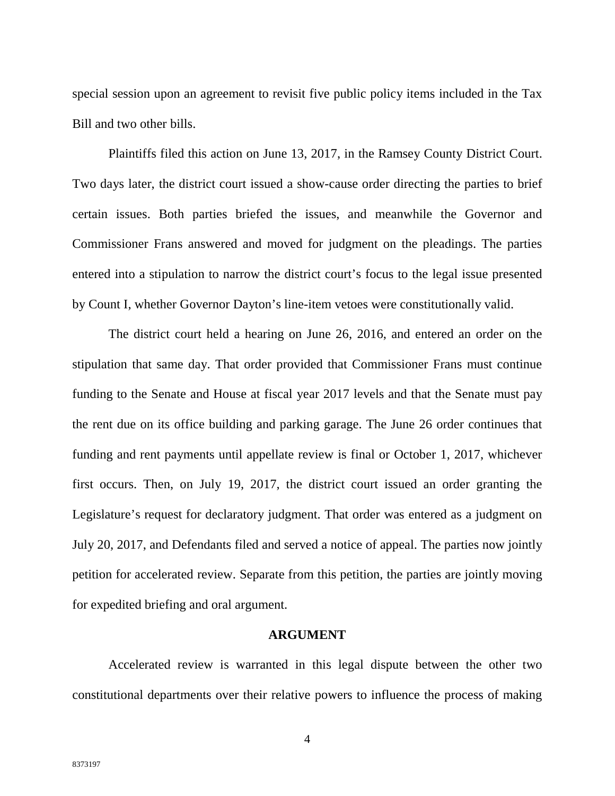special session upon an agreement to revisit five public policy items included in the Tax Bill and two other bills.

Plaintiffs filed this action on June 13, 2017, in the Ramsey County District Court. Two days later, the district court issued a show-cause order directing the parties to brief certain issues. Both parties briefed the issues, and meanwhile the Governor and Commissioner Frans answered and moved for judgment on the pleadings. The parties entered into a stipulation to narrow the district court's focus to the legal issue presented by Count I, whether Governor Dayton's line-item vetoes were constitutionally valid.

The district court held a hearing on June 26, 2016, and entered an order on the stipulation that same day. That order provided that Commissioner Frans must continue funding to the Senate and House at fiscal year 2017 levels and that the Senate must pay the rent due on its office building and parking garage. The June 26 order continues that funding and rent payments until appellate review is final or October 1, 2017, whichever first occurs. Then, on July 19, 2017, the district court issued an order granting the Legislature's request for declaratory judgment. That order was entered as a judgment on July 20, 2017, and Defendants filed and served a notice of appeal. The parties now jointly petition for accelerated review. Separate from this petition, the parties are jointly moving for expedited briefing and oral argument.

#### **ARGUMENT**

Accelerated review is warranted in this legal dispute between the other two constitutional departments over their relative powers to influence the process of making

4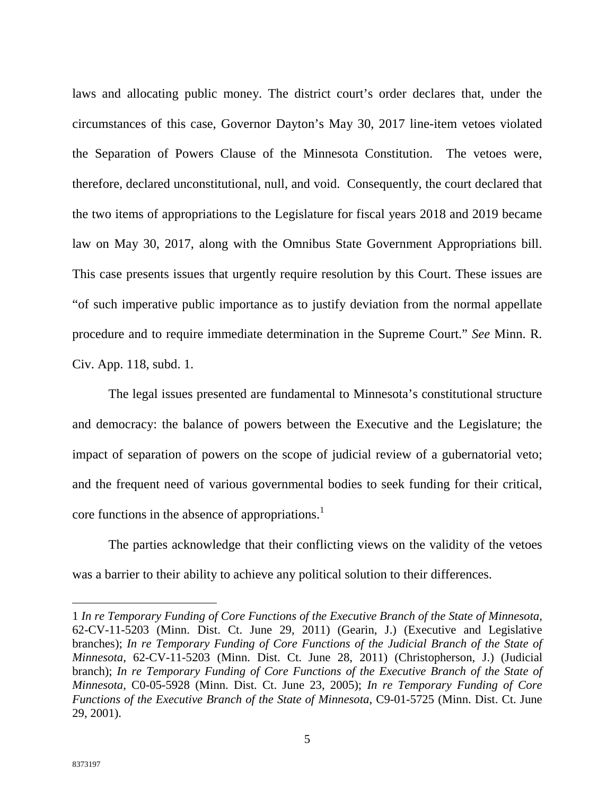laws and allocating public money. The district court's order declares that, under the circumstances of this case, Governor Dayton's May 30, 2017 line-item vetoes violated the Separation of Powers Clause of the Minnesota Constitution. The vetoes were, therefore, declared unconstitutional, null, and void. Consequently, the court declared that the two items of appropriations to the Legislature for fiscal years 2018 and 2019 became law on May 30, 2017, along with the Omnibus State Government Appropriations bill. This case presents issues that urgently require resolution by this Court. These issues are "of such imperative public importance as to justify deviation from the normal appellate procedure and to require immediate determination in the Supreme Court." *See* Minn. R. Civ. App. 118, subd. 1.

The legal issues presented are fundamental to Minnesota's constitutional structure and democracy: the balance of powers between the Executive and the Legislature; the impact of separation of powers on the scope of judicial review of a gubernatorial veto; and the frequent need of various governmental bodies to seek funding for their critical, core functions in the absence of appropriations.<sup>1</sup>

The parties acknowledge that their conflicting views on the validity of the vetoes was a barrier to their ability to achieve any political solution to their differences.

<sup>1</sup> *In re Temporary Funding of Core Functions of the Executive Branch of the State of Minnesota*, 62-CV-11-5203 (Minn. Dist. Ct. June 29, 2011) (Gearin, J.) (Executive and Legislative branches); *In re Temporary Funding of Core Functions of the Judicial Branch of the State of Minnesota*, 62-CV-11-5203 (Minn. Dist. Ct. June 28, 2011) (Christopherson, J.) (Judicial branch); *In re Temporary Funding of Core Functions of the Executive Branch of the State of Minnesota*, C0-05-5928 (Minn. Dist. Ct. June 23, 2005); *In re Temporary Funding of Core Functions of the Executive Branch of the State of Minnesota*, C9-01-5725 (Minn. Dist. Ct. June 29, 2001).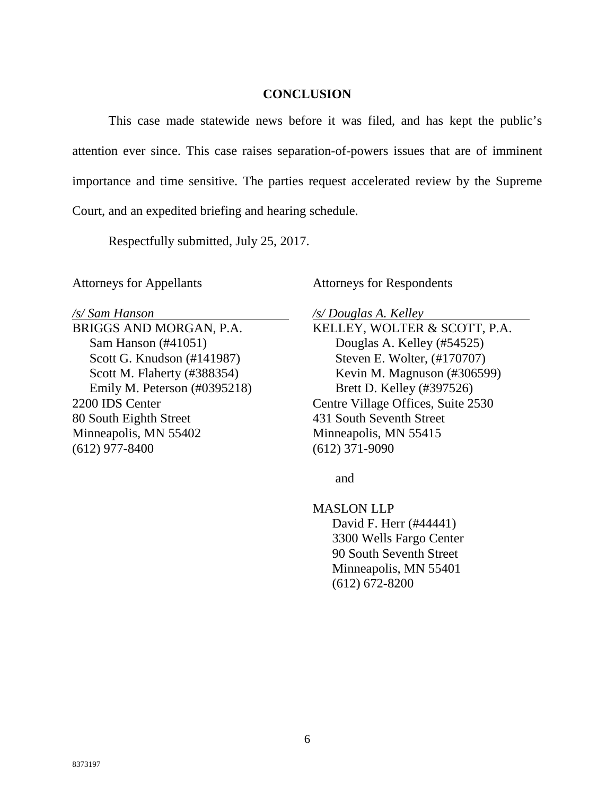## **CONCLUSION**

This case made statewide news before it was filed, and has kept the public's attention ever since. This case raises separation-of-powers issues that are of imminent importance and time sensitive. The parties request accelerated review by the Supreme Court, and an expedited briefing and hearing schedule.

Respectfully submitted, July 25, 2017.

Attorneys for Appellants

*/s/ Sam Hanson* 

BRIGGS AND MORGAN, P.A. Sam Hanson (#41051) Scott G. Knudson (#141987) Scott M. Flaherty (#388354) Emily M. Peterson (#0395218) 2200 IDS Center 80 South Eighth Street Minneapolis, MN 55402 (612) 977-8400

Attorneys for Respondents

*/s/ Douglas A. Kelley* 

KELLEY, WOLTER & SCOTT, P.A. Douglas A. Kelley (#54525) Steven E. Wolter, (#170707) Kevin M. Magnuson (#306599) Brett D. Kelley (#397526) Centre Village Offices, Suite 2530 431 South Seventh Street Minneapolis, MN 55415 (612) 371-9090

and

MASLON LLP David F. Herr (#44441) 3300 Wells Fargo Center 90 South Seventh Street Minneapolis, MN 55401 (612) 672-8200